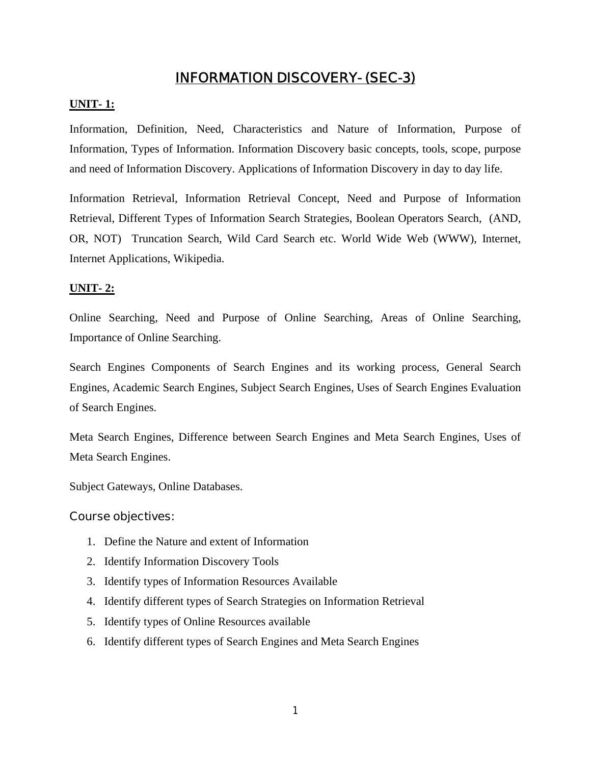# **INFORMATION DISCOVERY- (SEC-3)**

### **UNIT- 1:**

Information, Definition, Need, Characteristics and Nature of Information, Purpose of Information, Types of Information. Information Discovery basic concepts, tools, scope, purpose and need of Information Discovery. Applications of Information Discovery in day to day life.

Information Retrieval, Information Retrieval Concept, Need and Purpose of Information Retrieval, Different Types of Information Search Strategies, Boolean Operators Search, (AND, OR, NOT) Truncation Search, Wild Card Search etc. World Wide Web (WWW), Internet, Internet Applications, Wikipedia.

#### **UNIT- 2:**

Online Searching, Need and Purpose of Online Searching, Areas of Online Searching, Importance of Online Searching.

Search Engines Components of Search Engines and its working process, General Search Engines, Academic Search Engines, Subject Search Engines, Uses of Search Engines Evaluation of Search Engines.

Meta Search Engines, Difference between Search Engines and Meta Search Engines, Uses of Meta Search Engines.

Subject Gateways, Online Databases.

## **Course objectives:**

- 1. Define the Nature and extent of Information
- 2. Identify Information Discovery Tools
- 3. Identify types of Information Resources Available
- 4. Identify different types of Search Strategies on Information Retrieval
- 5. Identify types of Online Resources available
- 6. Identify different types of Search Engines and Meta Search Engines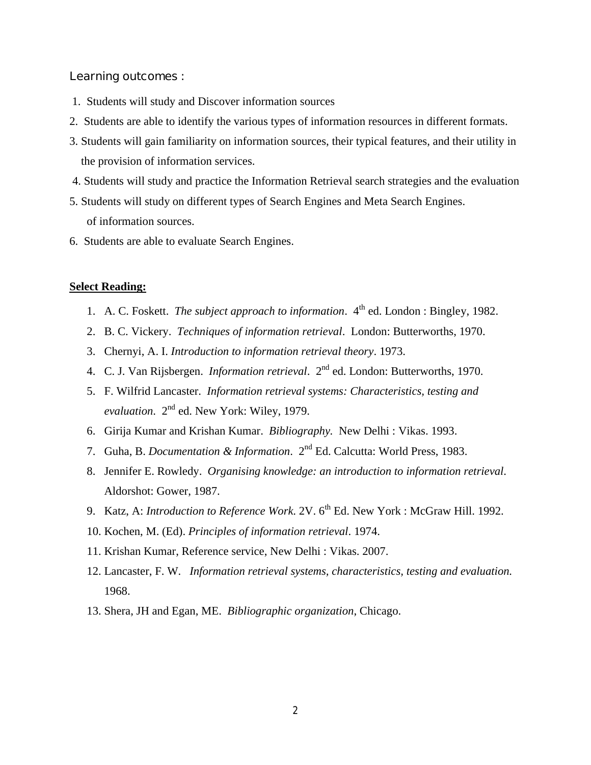### **Learning outcomes :**

- 1. Students will study and Discover information sources
- 2. Students are able to identify the various types of information resources in different formats.
- 3. Students will gain familiarity on information sources, their typical features, and their utility in the provision of information services.
- 4. Students will study and practice the Information Retrieval search strategies and the evaluation
- 5. Students will study on different types of Search Engines and Meta Search Engines. of information sources.
- 6. Students are able to evaluate Search Engines.

## **Select Reading:**

- 1. A. C. Foskett. *The subject approach to information*.  $4<sup>th</sup>$  ed. London : Bingley, 1982.
- 2. B. C. Vickery. *Techniques of information retrieval*. London: Butterworths, 1970.
- 3. Chernyi, A. I. *Introduction to information retrieval theory*. 1973.
- 4. C. J. Van Rijsbergen. *Information retrieval*. 2nd ed. London: Butterworths, 1970.
- 5. F. Wilfrid Lancaster. *Information retrieval systems: Characteristics, testing and evaluation*. 2nd ed. New York: Wiley, 1979.
- 6. Girija Kumar and Krishan Kumar. *Bibliography.* New Delhi : Vikas. 1993.
- 7. Guha, B. *Documentation & Information*. 2nd Ed. Calcutta: World Press, 1983.
- 8. Jennifer E. Rowledy. *Organising knowledge: an introduction to information retrieval*. Aldorshot: Gower, 1987.
- 9. Katz, A: *Introduction to Reference Work*. 2V. 6<sup>th</sup> Ed. New York : McGraw Hill. 1992.
- 10. Kochen, M. (Ed). *Principles of information retrieval*. 1974.
- 11. Krishan Kumar, Reference service, New Delhi : Vikas. 2007.
- 12. Lancaster, F. W. *Information retrieval systems, characteristics, testing and evaluation.* 1968.
- 13. Shera, JH and Egan, ME. *Bibliographic organization*, Chicago.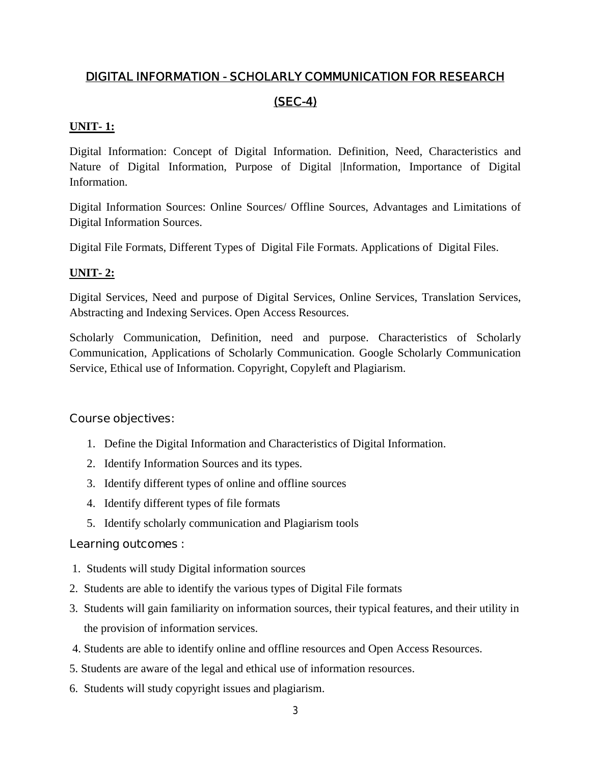# **DIGITAL INFORMATION - SCHOLARLY COMMUNICATION FOR RESEARCH (SEC-4)**

# **UNIT- 1:**

Digital Information: Concept of Digital Information. Definition, Need, Characteristics and Nature of Digital Information, Purpose of Digital |Information, Importance of Digital Information.

Digital Information Sources: Online Sources/ Offline Sources, Advantages and Limitations of Digital Information Sources.

Digital File Formats, Different Types of Digital File Formats. Applications of Digital Files.

# **UNIT- 2:**

Digital Services, Need and purpose of Digital Services, Online Services, Translation Services, Abstracting and Indexing Services. Open Access Resources.

Scholarly Communication, Definition, need and purpose. Characteristics of Scholarly Communication, Applications of Scholarly Communication. Google Scholarly Communication Service, Ethical use of Information. Copyright, Copyleft and Plagiarism.

## **Course objectives:**

- 1. Define the Digital Information and Characteristics of Digital Information.
- 2. Identify Information Sources and its types.
- 3. Identify different types of online and offline sources
- 4. Identify different types of file formats
- 5. Identify scholarly communication and Plagiarism tools

## **Learning outcomes :**

- 1. Students will study Digital information sources
- 2. Students are able to identify the various types of Digital File formats
- 3. Students will gain familiarity on information sources, their typical features, and their utility in the provision of information services.
- 4. Students are able to identify online and offline resources and Open Access Resources.
- 5. Students are aware of the legal and ethical use of information resources.
- 6. Students will study copyright issues and plagiarism.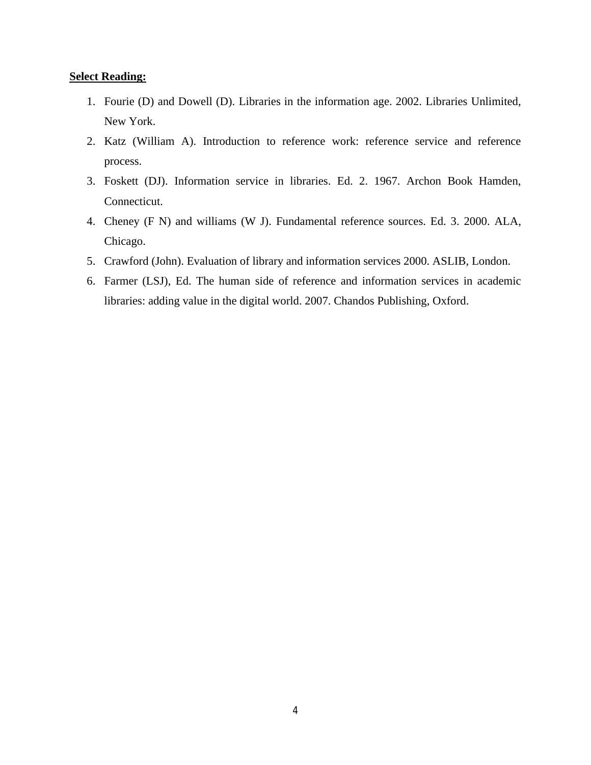#### **Select Reading:**

- 1. Fourie (D) and Dowell (D). Libraries in the information age. 2002. Libraries Unlimited, New York.
- 2. Katz (William A). Introduction to reference work: reference service and reference process.
- 3. Foskett (DJ). Information service in libraries. Ed. 2. 1967. Archon Book Hamden, Connecticut.
- 4. Cheney (F N) and williams (W J). Fundamental reference sources. Ed. 3. 2000. ALA, Chicago.
- 5. Crawford (John). Evaluation of library and information services 2000. ASLIB, London.
- 6. Farmer (LSJ), Ed. The human side of reference and information services in academic libraries: adding value in the digital world. 2007. Chandos Publishing, Oxford.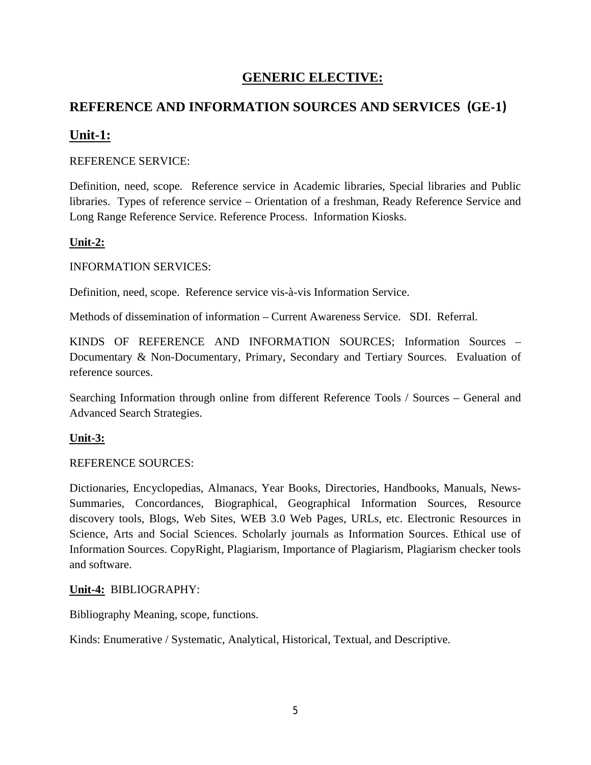# **GENERIC ELECTIVE:**

# **REFERENCE AND INFORMATION SOURCES AND SERVICES (GE-1)**

# **Unit-1:**

## REFERENCE SERVICE:

Definition, need, scope. Reference service in Academic libraries, Special libraries and Public libraries. Types of reference service – Orientation of a freshman, Ready Reference Service and Long Range Reference Service. Reference Process. Information Kiosks.

## **Unit-2:**

## INFORMATION SERVICES:

Definition, need, scope. Reference service vis-à-vis Information Service.

Methods of dissemination of information – Current Awareness Service. SDI. Referral.

KINDS OF REFERENCE AND INFORMATION SOURCES; Information Sources – Documentary & Non-Documentary, Primary, Secondary and Tertiary Sources. Evaluation of reference sources.

Searching Information through online from different Reference Tools / Sources – General and Advanced Search Strategies.

## **Unit-3:**

## REFERENCE SOURCES:

Dictionaries, Encyclopedias, Almanacs, Year Books, Directories, Handbooks, Manuals, News-Summaries, Concordances, Biographical, Geographical Information Sources, Resource discovery tools, Blogs, Web Sites, WEB 3.0 Web Pages, URLs, etc. Electronic Resources in Science, Arts and Social Sciences. Scholarly journals as Information Sources. Ethical use of Information Sources. CopyRight, Plagiarism, Importance of Plagiarism, Plagiarism checker tools and software.

## **Unit-4:** BIBLIOGRAPHY:

Bibliography Meaning, scope, functions.

Kinds: Enumerative / Systematic, Analytical, Historical, Textual, and Descriptive.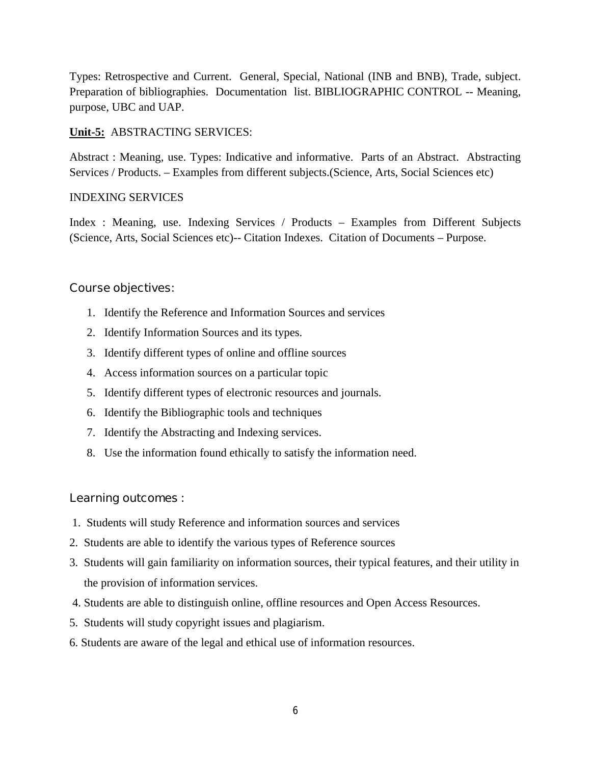Types: Retrospective and Current. General, Special, National (INB and BNB), Trade, subject. Preparation of bibliographies. Documentation list. BIBLIOGRAPHIC CONTROL -- Meaning, purpose, UBC and UAP.

## **Unit-5:** ABSTRACTING SERVICES:

Abstract : Meaning, use. Types: Indicative and informative. Parts of an Abstract. Abstracting Services / Products. – Examples from different subjects.(Science, Arts, Social Sciences etc)

## INDEXING SERVICES

Index : Meaning, use. Indexing Services / Products – Examples from Different Subjects (Science, Arts, Social Sciences etc)-- Citation Indexes. Citation of Documents – Purpose.

## **Course objectives:**

- 1. Identify the Reference and Information Sources and services
- 2. Identify Information Sources and its types.
- 3. Identify different types of online and offline sources
- 4. Access information sources on a particular topic
- 5. Identify different types of electronic resources and journals.
- 6. Identify the Bibliographic tools and techniques
- 7. Identify the Abstracting and Indexing services.
- 8. Use the information found ethically to satisfy the information need.

## **Learning outcomes :**

- 1. Students will study Reference and information sources and services
- 2. Students are able to identify the various types of Reference sources
- 3. Students will gain familiarity on information sources, their typical features, and their utility in the provision of information services.
- 4. Students are able to distinguish online, offline resources and Open Access Resources.
- 5. Students will study copyright issues and plagiarism.
- 6. Students are aware of the legal and ethical use of information resources.